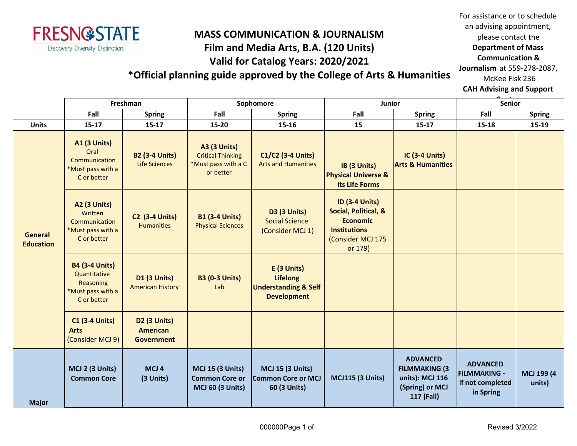

## **MASS COMMUNICATION & JOURNALISM Film and Media Arts, B.A. (120 Units) Valid for Catalog Years: 2020/2021**

For assistance or to schedule an advising appointment, please contact the **Department of Mass Communication & Journalism** at 559-278-2087, McKee Fisk 236

**\*Official planning guide approved by the College of Arts & Humanities**

**CAH Advising and Support** 

|                                    | Freshman                                                                               |                                                                  | Sophomore                                                                           |                                                                                         | Junior                                                                                                                  |                                                                                             | <b>Senior</b>                                                           |                      |
|------------------------------------|----------------------------------------------------------------------------------------|------------------------------------------------------------------|-------------------------------------------------------------------------------------|-----------------------------------------------------------------------------------------|-------------------------------------------------------------------------------------------------------------------------|---------------------------------------------------------------------------------------------|-------------------------------------------------------------------------|----------------------|
|                                    | Fall                                                                                   | <b>Spring</b>                                                    | Fall                                                                                | <b>Spring</b>                                                                           | Fall                                                                                                                    | <b>Spring</b>                                                                               | Fall                                                                    | <b>Spring</b>        |
| <b>Units</b>                       | $15 - 17$                                                                              | $15-17$                                                          | 15-20                                                                               | $15 - 16$                                                                               | 15                                                                                                                      | $15-17$                                                                                     | $15 - 18$                                                               | $15-19$              |
| <b>General</b><br><b>Education</b> | <b>A1 (3 Units)</b><br>Oral<br>Communication<br>*Must pass with a<br>C or better       | <b>B2 (3-4 Units)</b><br><b>Life Sciences</b>                    | <b>A3 (3 Units)</b><br><b>Critical Thinking</b><br>*Must pass with a C<br>or better | C1/C2 (3-4 Units)<br><b>Arts and Humanities</b>                                         | IB (3 Units)<br><b>Physical Universe &amp;</b><br><b>Its Life Forms</b>                                                 | <b>IC (3-4 Units)</b><br><b>Arts &amp; Humanities</b>                                       |                                                                         |                      |
|                                    | <b>A2 (3 Units)</b><br>Written<br>Communication<br>*Must pass with a<br>C or better    | <b>C2 (3-4 Units)</b><br><b>Humanities</b>                       | <b>B1 (3-4 Units)</b><br><b>Physical Sciences</b>                                   | <b>D3 (3 Units)</b><br><b>Social Science</b><br>(Consider MCJ 1)                        | <b>ID (3-4 Units)</b><br>Social, Political, &<br><b>Economic</b><br><b>Institutions</b><br>(Consider MCJ 175<br>or 179) |                                                                                             |                                                                         |                      |
|                                    | <b>B4 (3-4 Units)</b><br>Quantitative<br>Reasoning<br>*Must pass with a<br>C or better | <b>D1 (3 Units)</b><br><b>American History</b>                   | <b>B3 (0-3 Units)</b><br>Lab                                                        | E (3 Units)<br><b>Lifelong</b><br><b>Understanding &amp; Self</b><br><b>Development</b> |                                                                                                                         |                                                                                             |                                                                         |                      |
|                                    | <b>C1 (3-4 Units)</b><br><b>Arts</b><br>(Consider MCJ 9)                               | D <sub>2</sub> (3 Units)<br><b>American</b><br><b>Government</b> |                                                                                     |                                                                                         |                                                                                                                         |                                                                                             |                                                                         |                      |
| <b>Major</b>                       | MCJ 2 (3 Units)<br><b>Common Core</b>                                                  | MCJ <sub>4</sub><br>(3 Units)                                    | <b>MCJ 15 (3 Units)</b><br><b>Common Core or</b><br><b>MCJ 60 (3 Units)</b>         | <b>MCJ 15 (3 Units)</b><br>Common Core or MCJ<br>60 (3 Units)                           | <b>MCJ115 (3 Units)</b>                                                                                                 | <b>ADVANCED</b><br><b>FILMMAKING (3</b><br>units): MCJ 116<br>(Spring) or MCJ<br>117 (Fall) | <b>ADVANCED</b><br><b>FILMMAKING -</b><br>if not completed<br>in Spring | MCJ 199 (4<br>units) |